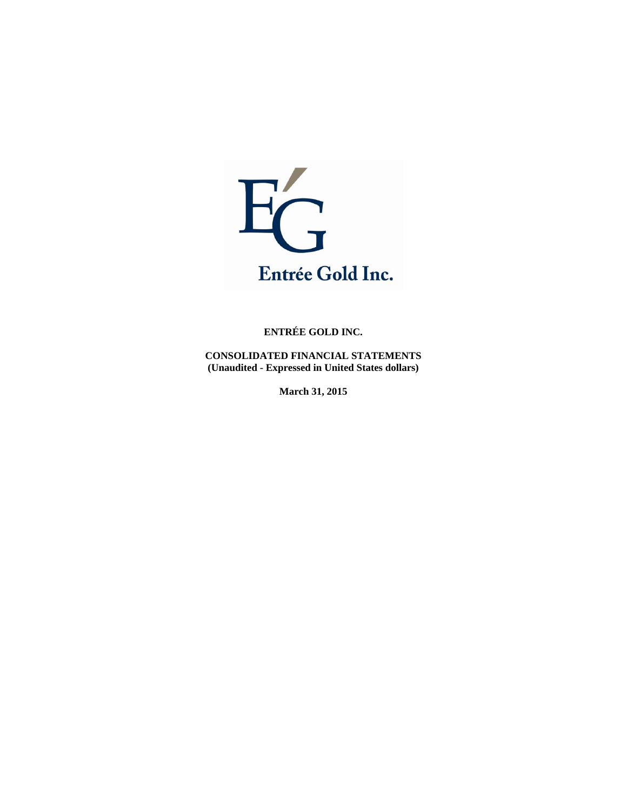

**CONSOLIDATED FINANCIAL STATEMENTS (Unaudited - Expressed in United States dollars)** 

**March 31, 2015**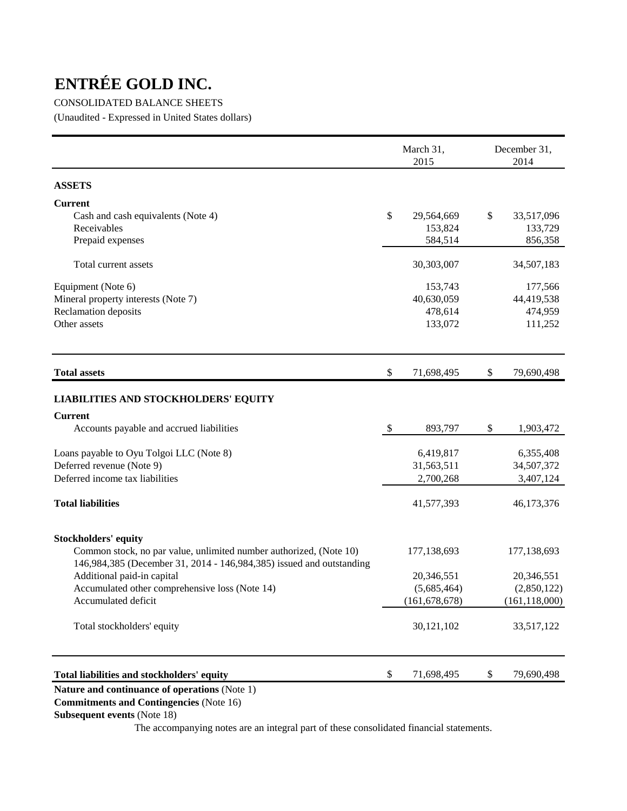#### CONSOLIDATED BALANCE SHEETS

(Unaudited - Expressed in United States dollars)

|                                                                      | March 31,<br>2015 | December 31,<br>2014 |
|----------------------------------------------------------------------|-------------------|----------------------|
| <b>ASSETS</b>                                                        |                   |                      |
| <b>Current</b>                                                       |                   |                      |
| Cash and cash equivalents (Note 4)                                   | \$<br>29,564,669  | \$<br>33,517,096     |
| Receivables                                                          | 153,824           | 133,729              |
| Prepaid expenses                                                     | 584,514           | 856,358              |
| Total current assets                                                 | 30,303,007        | 34,507,183           |
| Equipment (Note 6)                                                   | 153,743           | 177,566              |
| Mineral property interests (Note 7)                                  | 40,630,059        | 44,419,538           |
| Reclamation deposits                                                 | 478,614           | 474,959              |
| Other assets                                                         | 133,072           | 111,252              |
| <b>Total assets</b>                                                  | \$<br>71,698,495  | \$<br>79,690,498     |
| <b>LIABILITIES AND STOCKHOLDERS' EQUITY</b>                          |                   |                      |
| <b>Current</b>                                                       |                   |                      |
| Accounts payable and accrued liabilities                             | \$<br>893,797     | \$<br>1,903,472      |
| Loans payable to Oyu Tolgoi LLC (Note 8)                             | 6,419,817         | 6,355,408            |
| Deferred revenue (Note 9)                                            | 31,563,511        | 34,507,372           |
| Deferred income tax liabilities                                      | 2,700,268         | 3,407,124            |
| <b>Total liabilities</b>                                             | 41,577,393        | 46,173,376           |
| <b>Stockholders' equity</b>                                          |                   |                      |
| Common stock, no par value, unlimited number authorized, (Note 10)   | 177,138,693       | 177,138,693          |
| 146,984,385 (December 31, 2014 - 146,984,385) issued and outstanding |                   |                      |
| Additional paid-in capital                                           | 20,346,551        | 20,346,551           |
| Accumulated other comprehensive loss (Note 14)                       | (5,685,464)       | (2,850,122)          |
| Accumulated deficit                                                  | (161, 678, 678)   | (161, 118, 000)      |
| Total stockholders' equity                                           | 30,121,102        | 33,517,122           |
| Total liabilities and stockholders' equity                           | \$<br>71,698,495  | \$<br>79,690,498     |
|                                                                      |                   |                      |

### **Nature and continuance of operations** (Note 1)

 **Commitments and Contingencies** (Note 16)

#### **Subsequent events** (Note 18)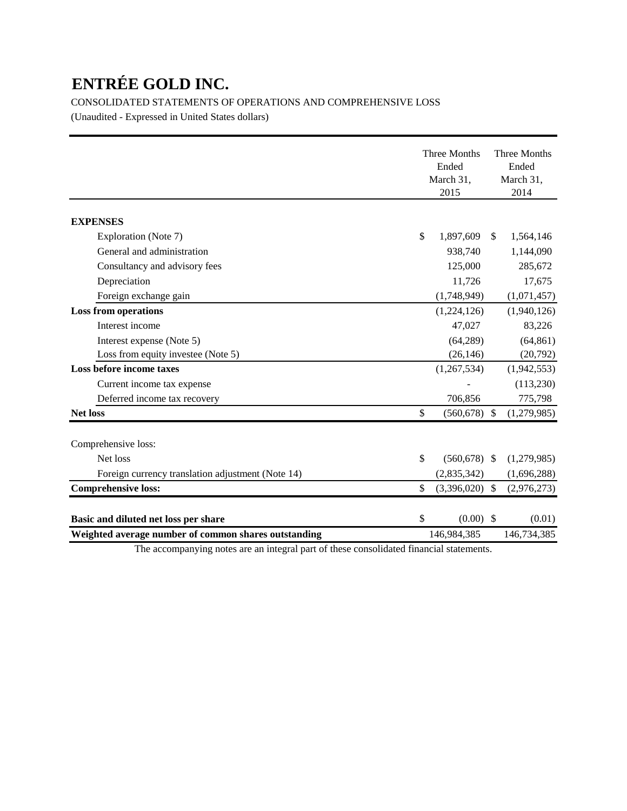CONSOLIDATED STATEMENTS OF OPERATIONS AND COMPREHENSIVE LOSS

(Unaudited - Expressed in United States dollars)

|                                                      | Three Months<br>Ended<br>March 31,<br>2015 |              | Three Months<br>Ended<br>March 31,<br>2014 |
|------------------------------------------------------|--------------------------------------------|--------------|--------------------------------------------|
| <b>EXPENSES</b>                                      |                                            |              |                                            |
| Exploration (Note 7)                                 | \$<br>1,897,609                            | $\mathbb{S}$ | 1,564,146                                  |
| General and administration                           | 938,740                                    |              | 1,144,090                                  |
| Consultancy and advisory fees                        | 125,000                                    |              | 285,672                                    |
| Depreciation                                         | 11,726                                     |              | 17,675                                     |
| Foreign exchange gain                                | (1,748,949)                                |              | (1,071,457)                                |
| <b>Loss from operations</b>                          | (1,224,126)                                |              | (1,940,126)                                |
| Interest income                                      | 47,027                                     |              | 83,226                                     |
| Interest expense (Note 5)                            | (64, 289)                                  |              | (64, 861)                                  |
| Loss from equity investee (Note 5)                   | (26, 146)                                  |              | (20,792)                                   |
| Loss before income taxes                             | (1,267,534)                                |              | (1,942,553)                                |
| Current income tax expense                           |                                            |              | (113, 230)                                 |
| Deferred income tax recovery                         | 706,856                                    |              | 775,798                                    |
| <b>Net loss</b>                                      | \$<br>(560, 678)                           | \$           | (1,279,985)                                |
| Comprehensive loss:                                  |                                            |              |                                            |
| Net loss                                             | \$<br>$(560, 678)$ \$                      |              | (1,279,985)                                |
| Foreign currency translation adjustment (Note 14)    | (2,835,342)                                |              | (1,696,288)                                |
| <b>Comprehensive loss:</b>                           | \$<br>$(3,396,020)$ \$                     |              | (2,976,273)                                |
| Basic and diluted net loss per share                 | \$<br>$(0.00)$ \$                          |              | (0.01)                                     |
| Weighted average number of common shares outstanding | 146,984,385                                |              | 146,734,385                                |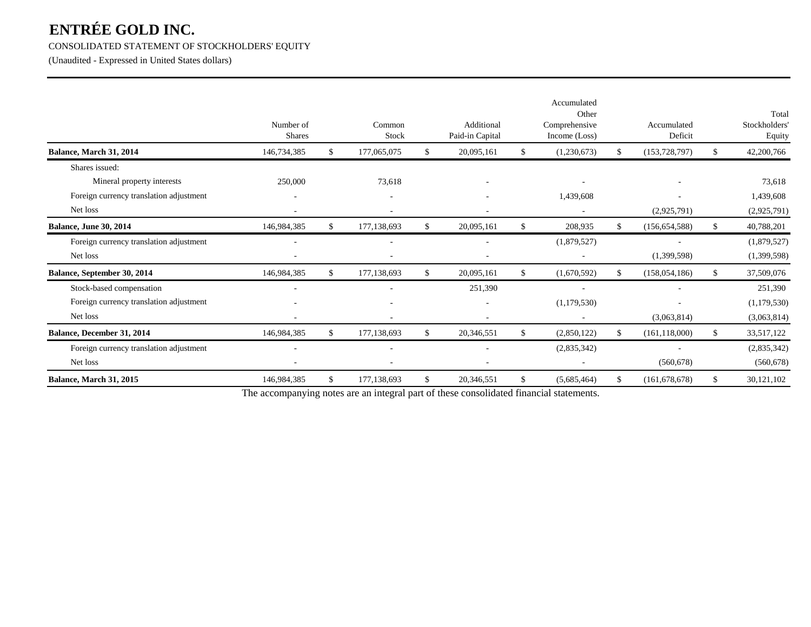#### CONSOLIDATED STATEMENT OF STOCKHOLDERS' EQUITY

(Unaudited - Expressed in United States dollars)

|                                         | Number of<br><b>Shares</b> | Common<br>Stock     |     | Additional<br>Paid-in Capital |               | Accumulated<br>Other<br>Comprehensive<br>Income (Loss) |    | Accumulated<br>Deficit |    | Total<br>Stockholders'<br>Equity |
|-----------------------------------------|----------------------------|---------------------|-----|-------------------------------|---------------|--------------------------------------------------------|----|------------------------|----|----------------------------------|
| Balance, March 31, 2014                 | 146,734,385                | \$<br>177,065,075   | -SS | 20,095,161                    | -S            | (1,230,673)                                            | S. | (153, 728, 797)        |    | 42,200,766                       |
| Shares issued:                          |                            |                     |     |                               |               |                                                        |    |                        |    |                                  |
| Mineral property interests              | 250,000                    | 73,618              |     | $\overline{\phantom{a}}$      |               | $\overline{\phantom{a}}$                               |    |                        |    | 73,618                           |
| Foreign currency translation adjustment | ۰                          | $\sim$              |     |                               |               | 1,439,608                                              |    |                        |    | 1,439,608                        |
| Net loss                                |                            |                     |     |                               |               |                                                        |    | (2,925,791)            |    | (2,925,791)                      |
| Balance, June 30, 2014                  | 146,984,385                | \$<br>177, 138, 693 | \$  | 20,095,161                    | \$            | 208,935                                                | \$ | (156, 654, 588)        | \$ | 40,788,201                       |
| Foreign currency translation adjustment |                            |                     |     |                               |               | (1,879,527)                                            |    |                        |    | (1,879,527)                      |
| Net loss                                |                            |                     |     | $\overline{\phantom{a}}$      |               |                                                        |    | (1,399,598)            |    | (1,399,598)                      |
| Balance, September 30, 2014             | 146,984,385                | \$<br>177, 138, 693 | \$  | 20,095,161                    | <sup>\$</sup> | (1,670,592)                                            | \$ | (158, 054, 186)        | \$ | 37,509,076                       |
| Stock-based compensation                |                            |                     |     | 251,390                       |               |                                                        |    |                        |    | 251,390                          |
| Foreign currency translation adjustment |                            |                     |     |                               |               | (1,179,530)                                            |    |                        |    | (1,179,530)                      |
| Net loss                                |                            |                     |     | $\overline{\phantom{a}}$      |               | $\overline{\phantom{a}}$                               |    | (3,063,814)            |    | (3,063,814)                      |
| Balance, December 31, 2014              | 146,984,385                | \$<br>177,138,693   | \$  | 20,346,551                    | \$            | (2,850,122)                                            | \$ | (161, 118, 000)        | S. | 33,517,122                       |
| Foreign currency translation adjustment |                            |                     |     |                               |               | (2,835,342)                                            |    |                        |    | (2,835,342)                      |
| Net loss                                |                            |                     |     | ٠                             |               |                                                        |    | (560, 678)             |    | (560, 678)                       |
| <b>Balance, March 31, 2015</b>          | 146,984,385                | \$<br>177,138,693   | \$  | 20,346,551                    | \$            | (5,685,464)                                            | \$ | (161, 678, 678)        | \$ | 30,121,102                       |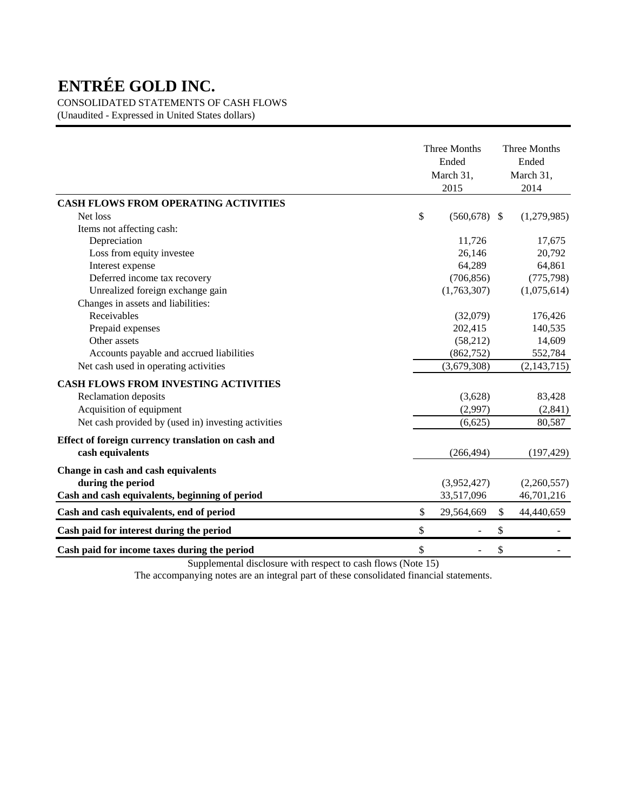CONSOLIDATED STATEMENTS OF CASH FLOWS

(Unaudited - Expressed in United States dollars)

|                                                     | <b>Three Months</b><br>Ended<br>March 31,<br>2015 |                           | <b>Three Months</b><br>Ended<br>March 31,<br>2014 |
|-----------------------------------------------------|---------------------------------------------------|---------------------------|---------------------------------------------------|
| <b>CASH FLOWS FROM OPERATING ACTIVITIES</b>         |                                                   |                           |                                                   |
| Net loss                                            | \$<br>$(560, 678)$ \$                             |                           | (1,279,985)                                       |
| Items not affecting cash:                           |                                                   |                           |                                                   |
| Depreciation                                        | 11,726                                            |                           | 17,675                                            |
| Loss from equity investee                           | 26,146                                            |                           | 20,792                                            |
| Interest expense                                    | 64,289                                            |                           | 64,861                                            |
| Deferred income tax recovery                        | (706, 856)                                        |                           | (775, 798)                                        |
| Unrealized foreign exchange gain                    | (1,763,307)                                       |                           | (1,075,614)                                       |
| Changes in assets and liabilities:                  |                                                   |                           |                                                   |
| Receivables                                         | (32,079)                                          |                           | 176,426                                           |
| Prepaid expenses                                    | 202,415                                           |                           | 140,535                                           |
| Other assets                                        | (58,212)                                          |                           | 14,609                                            |
| Accounts payable and accrued liabilities            | (862, 752)                                        |                           | 552,784                                           |
| Net cash used in operating activities               | (3,679,308)                                       |                           | (2, 143, 715)                                     |
| <b>CASH FLOWS FROM INVESTING ACTIVITIES</b>         |                                                   |                           |                                                   |
| Reclamation deposits                                | (3,628)                                           |                           | 83,428                                            |
| Acquisition of equipment                            | (2,997)                                           |                           | (2,841)                                           |
| Net cash provided by (used in) investing activities | (6,625)                                           |                           | 80,587                                            |
| Effect of foreign currency translation on cash and  |                                                   |                           |                                                   |
| cash equivalents                                    | (266, 494)                                        |                           | (197, 429)                                        |
| Change in cash and cash equivalents                 |                                                   |                           |                                                   |
| during the period                                   | (3,952,427)                                       |                           | (2,260,557)                                       |
| Cash and cash equivalents, beginning of period      | 33,517,096                                        |                           | 46,701,216                                        |
| Cash and cash equivalents, end of period            | \$<br>29,564,669                                  | $\boldsymbol{\mathsf{S}}$ | 44,440,659                                        |
| Cash paid for interest during the period            | \$                                                | \$                        |                                                   |
| Cash paid for income taxes during the period        | \$                                                | $\mathcal{S}$             |                                                   |

Supplemental disclosure with respect to cash flows (Note 15)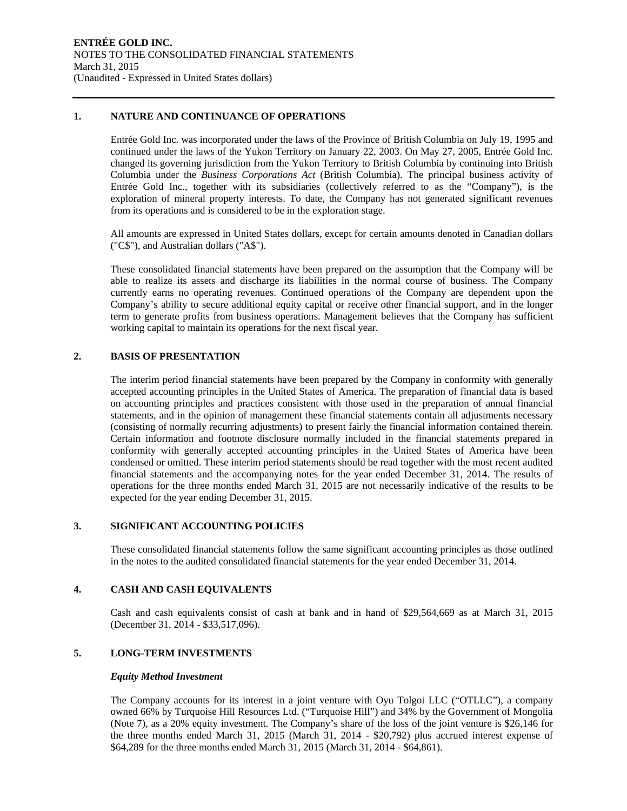#### **1. NATURE AND CONTINUANCE OF OPERATIONS**

Entrée Gold Inc. was incorporated under the laws of the Province of British Columbia on July 19, 1995 and continued under the laws of the Yukon Territory on January 22, 2003. On May 27, 2005, Entrée Gold Inc. changed its governing jurisdiction from the Yukon Territory to British Columbia by continuing into British Columbia under the *Business Corporations Act* (British Columbia). The principal business activity of Entrée Gold Inc., together with its subsidiaries (collectively referred to as the "Company"), is the exploration of mineral property interests. To date, the Company has not generated significant revenues from its operations and is considered to be in the exploration stage.

All amounts are expressed in United States dollars, except for certain amounts denoted in Canadian dollars ("C\$"), and Australian dollars ("A\$").

These consolidated financial statements have been prepared on the assumption that the Company will be able to realize its assets and discharge its liabilities in the normal course of business. The Company currently earns no operating revenues. Continued operations of the Company are dependent upon the Company's ability to secure additional equity capital or receive other financial support, and in the longer term to generate profits from business operations. Management believes that the Company has sufficient working capital to maintain its operations for the next fiscal year.

#### **2. BASIS OF PRESENTATION**

The interim period financial statements have been prepared by the Company in conformity with generally accepted accounting principles in the United States of America. The preparation of financial data is based on accounting principles and practices consistent with those used in the preparation of annual financial statements, and in the opinion of management these financial statements contain all adjustments necessary (consisting of normally recurring adjustments) to present fairly the financial information contained therein. Certain information and footnote disclosure normally included in the financial statements prepared in conformity with generally accepted accounting principles in the United States of America have been condensed or omitted. These interim period statements should be read together with the most recent audited financial statements and the accompanying notes for the year ended December 31, 2014. The results of operations for the three months ended March 31, 2015 are not necessarily indicative of the results to be expected for the year ending December 31, 2015.

#### **3. SIGNIFICANT ACCOUNTING POLICIES**

These consolidated financial statements follow the same significant accounting principles as those outlined in the notes to the audited consolidated financial statements for the year ended December 31, 2014.

#### **4. CASH AND CASH EQUIVALENTS**

Cash and cash equivalents consist of cash at bank and in hand of \$29,564,669 as at March 31, 2015 (December 31, 2014 - \$33,517,096).

#### **5. LONG-TERM INVESTMENTS**

#### *Equity Method Investment*

The Company accounts for its interest in a joint venture with Oyu Tolgoi LLC ("OTLLC"), a company owned 66% by Turquoise Hill Resources Ltd. ("Turquoise Hill") and 34% by the Government of Mongolia (Note 7), as a 20% equity investment. The Company's share of the loss of the joint venture is \$26,146 for the three months ended March 31, 2015 (March 31, 2014 - \$20,792) plus accrued interest expense of \$64,289 for the three months ended March 31, 2015 (March 31, 2014 - \$64,861).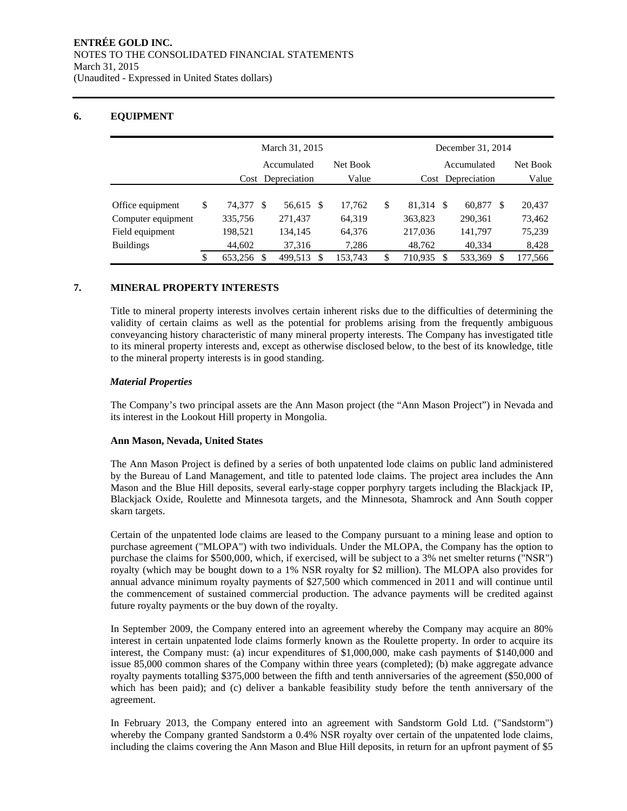#### **6. EQUIPMENT**

|                    | March 31, 2015 |                      |               |           |             |              |               | December 31, 2014    |         |
|--------------------|----------------|----------------------|---------------|-----------|-------------|--------------|---------------|----------------------|---------|
|                    |                | Accumulated          |               | Net Book  | Accumulated | Net Book     |               |                      |         |
|                    |                | Depreciation<br>Cost |               | Value     | Cost        | Depreciation |               |                      |         |
|                    |                |                      |               |           |             |              |               |                      |         |
| Office equipment   | \$             | 74.377 \$            |               | 56,615 \$ |             | 17.762       | \$<br>81.314  | 60.877<br>-S<br>- \$ | 20,437  |
| Computer equipment |                | 335,756              |               | 271,437   |             | 64,319       | 363,823       | 290,361              | 73,462  |
| Field equipment    |                | 198,521              |               | 134,145   |             | 64,376       | 217,036       | 141,797              | 75,239  |
| <b>Buildings</b>   |                | 44,602               |               | 37,316    |             | 7,286        | 48,762        | 40,334               | 8,428   |
|                    | \$             | 653,256              | <sup>\$</sup> | 499,513   | S           | 153,743      | \$<br>710,935 | 533,369<br>S<br>S    | 177,566 |

#### **7. MINERAL PROPERTY INTERESTS**

Title to mineral property interests involves certain inherent risks due to the difficulties of determining the validity of certain claims as well as the potential for problems arising from the frequently ambiguous conveyancing history characteristic of many mineral property interests. The Company has investigated title to its mineral property interests and, except as otherwise disclosed below, to the best of its knowledge, title to the mineral property interests is in good standing.

#### *Material Properties*

The Company's two principal assets are the Ann Mason project (the "Ann Mason Project") in Nevada and its interest in the Lookout Hill property in Mongolia.

#### **Ann Mason, Nevada, United States**

The Ann Mason Project is defined by a series of both unpatented lode claims on public land administered by the Bureau of Land Management, and title to patented lode claims. The project area includes the Ann Mason and the Blue Hill deposits, several early-stage copper porphyry targets including the Blackjack IP, Blackjack Oxide, Roulette and Minnesota targets, and the Minnesota, Shamrock and Ann South copper skarn targets.

Certain of the unpatented lode claims are leased to the Company pursuant to a mining lease and option to purchase agreement ("MLOPA") with two individuals. Under the MLOPA, the Company has the option to purchase the claims for \$500,000, which, if exercised, will be subject to a 3% net smelter returns ("NSR") royalty (which may be bought down to a 1% NSR royalty for \$2 million). The MLOPA also provides for annual advance minimum royalty payments of \$27,500 which commenced in 2011 and will continue until the commencement of sustained commercial production. The advance payments will be credited against future royalty payments or the buy down of the royalty.

In September 2009, the Company entered into an agreement whereby the Company may acquire an 80% interest in certain unpatented lode claims formerly known as the Roulette property. In order to acquire its interest, the Company must: (a) incur expenditures of \$1,000,000, make cash payments of \$140,000 and issue 85,000 common shares of the Company within three years (completed); (b) make aggregate advance royalty payments totalling \$375,000 between the fifth and tenth anniversaries of the agreement (\$50,000 of which has been paid); and (c) deliver a bankable feasibility study before the tenth anniversary of the agreement.

In February 2013, the Company entered into an agreement with Sandstorm Gold Ltd. ("Sandstorm") whereby the Company granted Sandstorm a 0.4% NSR royalty over certain of the unpatented lode claims, including the claims covering the Ann Mason and Blue Hill deposits, in return for an upfront payment of \$5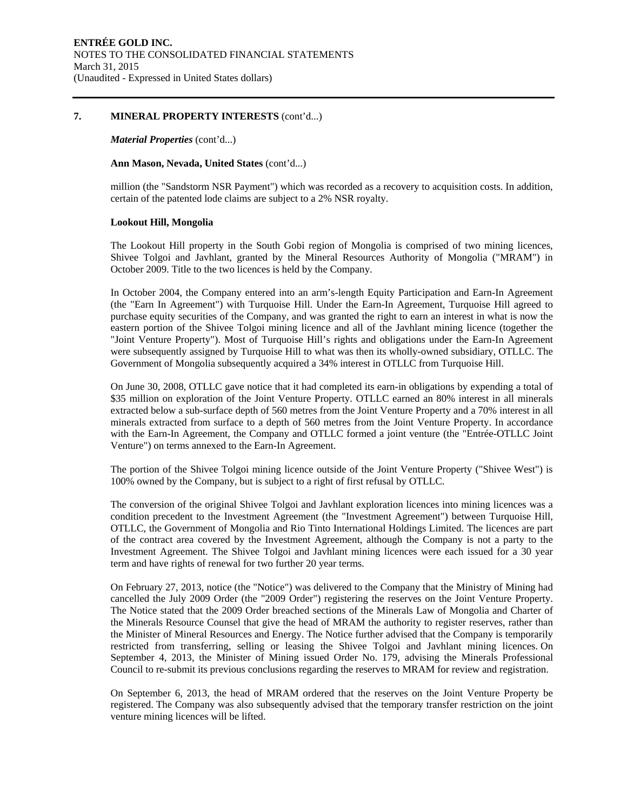#### **7. MINERAL PROPERTY INTERESTS** (cont'd...)

#### *Material Properties* (cont'd...)

#### **Ann Mason, Nevada, United States** (cont'd...)

million (the "Sandstorm NSR Payment") which was recorded as a recovery to acquisition costs. In addition, certain of the patented lode claims are subject to a 2% NSR royalty.

#### **Lookout Hill, Mongolia**

The Lookout Hill property in the South Gobi region of Mongolia is comprised of two mining licences, Shivee Tolgoi and Javhlant, granted by the Mineral Resources Authority of Mongolia ("MRAM") in October 2009. Title to the two licences is held by the Company.

In October 2004, the Company entered into an arm's-length Equity Participation and Earn-In Agreement (the "Earn In Agreement") with Turquoise Hill. Under the Earn-In Agreement, Turquoise Hill agreed to purchase equity securities of the Company, and was granted the right to earn an interest in what is now the eastern portion of the Shivee Tolgoi mining licence and all of the Javhlant mining licence (together the "Joint Venture Property"). Most of Turquoise Hill's rights and obligations under the Earn-In Agreement were subsequently assigned by Turquoise Hill to what was then its wholly-owned subsidiary, OTLLC. The Government of Mongolia subsequently acquired a 34% interest in OTLLC from Turquoise Hill.

On June 30, 2008, OTLLC gave notice that it had completed its earn-in obligations by expending a total of \$35 million on exploration of the Joint Venture Property. OTLLC earned an 80% interest in all minerals extracted below a sub-surface depth of 560 metres from the Joint Venture Property and a 70% interest in all minerals extracted from surface to a depth of 560 metres from the Joint Venture Property. In accordance with the Earn-In Agreement, the Company and OTLLC formed a joint venture (the "Entrée-OTLLC Joint Venture") on terms annexed to the Earn-In Agreement.

The portion of the Shivee Tolgoi mining licence outside of the Joint Venture Property ("Shivee West") is 100% owned by the Company, but is subject to a right of first refusal by OTLLC.

The conversion of the original Shivee Tolgoi and Javhlant exploration licences into mining licences was a condition precedent to the Investment Agreement (the "Investment Agreement") between Turquoise Hill, OTLLC, the Government of Mongolia and Rio Tinto International Holdings Limited. The licences are part of the contract area covered by the Investment Agreement, although the Company is not a party to the Investment Agreement. The Shivee Tolgoi and Javhlant mining licences were each issued for a 30 year term and have rights of renewal for two further 20 year terms.

On February 27, 2013, notice (the "Notice") was delivered to the Company that the Ministry of Mining had cancelled the July 2009 Order (the "2009 Order") registering the reserves on the Joint Venture Property. The Notice stated that the 2009 Order breached sections of the Minerals Law of Mongolia and Charter of the Minerals Resource Counsel that give the head of MRAM the authority to register reserves, rather than the Minister of Mineral Resources and Energy. The Notice further advised that the Company is temporarily restricted from transferring, selling or leasing the Shivee Tolgoi and Javhlant mining licences. On September 4, 2013, the Minister of Mining issued Order No. 179, advising the Minerals Professional Council to re-submit its previous conclusions regarding the reserves to MRAM for review and registration.

On September 6, 2013, the head of MRAM ordered that the reserves on the Joint Venture Property be registered. The Company was also subsequently advised that the temporary transfer restriction on the joint venture mining licences will be lifted.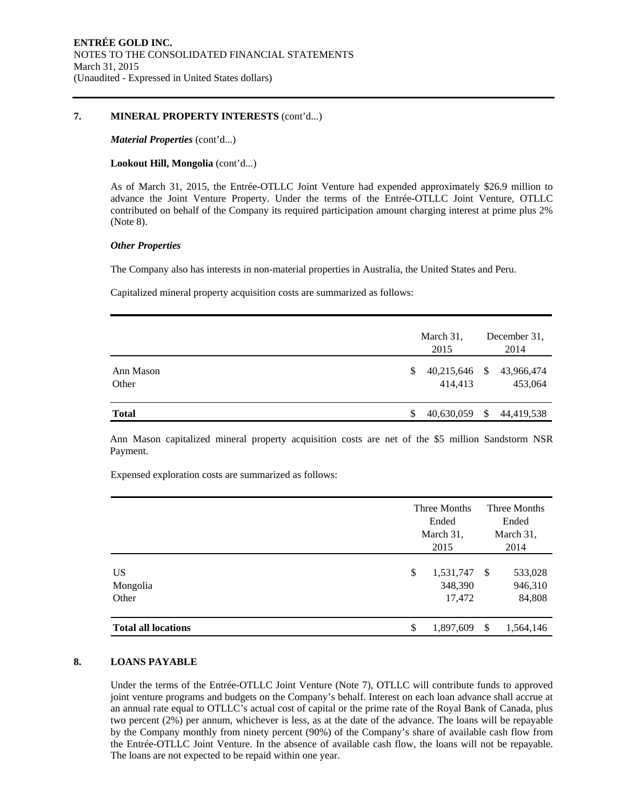#### **7. MINERAL PROPERTY INTERESTS** (cont'd...)

#### *Material Properties* (cont'd...)

#### **Lookout Hill, Mongolia** (cont'd...)

As of March 31, 2015, the Entrée-OTLLC Joint Venture had expended approximately \$26.9 million to advance the Joint Venture Property. Under the terms of the Entrée-OTLLC Joint Venture, OTLLC contributed on behalf of the Company its required participation amount charging interest at prime plus 2% (Note 8).

#### *Other Properties*

The Company also has interests in non-material properties in Australia, the United States and Peru.

Capitalized mineral property acquisition costs are summarized as follows:

|                    |   | March 31,<br>2015 |    | December 31,<br>2014                |
|--------------------|---|-------------------|----|-------------------------------------|
| Ann Mason<br>Other | S | 414.413           |    | 40,215,646 \$ 43,966,474<br>453,064 |
| <b>Total</b>       |   | 40,630,059        | -S | 44,419,538                          |

Ann Mason capitalized mineral property acquisition costs are net of the \$5 million Sandstorm NSR Payment.

Expensed exploration costs are summarized as follows:

|                            | Three Months<br>Ended<br>March 31,<br>2015 | Three Months<br>Ended<br>March 31,<br>2014 |                              |  |
|----------------------------|--------------------------------------------|--------------------------------------------|------------------------------|--|
| US<br>Mongolia<br>Other    | \$<br>1,531,747<br>348,390<br>17,472       | -S                                         | 533,028<br>946,310<br>84,808 |  |
| <b>Total all locations</b> | \$<br>1,897,609                            | <sup>\$</sup>                              | 1,564,146                    |  |

#### **8. LOANS PAYABLE**

Under the terms of the Entrée-OTLLC Joint Venture (Note 7), OTLLC will contribute funds to approved joint venture programs and budgets on the Company's behalf. Interest on each loan advance shall accrue at an annual rate equal to OTLLC's actual cost of capital or the prime rate of the Royal Bank of Canada, plus two percent (2%) per annum, whichever is less, as at the date of the advance. The loans will be repayable by the Company monthly from ninety percent (90%) of the Company's share of available cash flow from the Entrée-OTLLC Joint Venture. In the absence of available cash flow, the loans will not be repayable. The loans are not expected to be repaid within one year.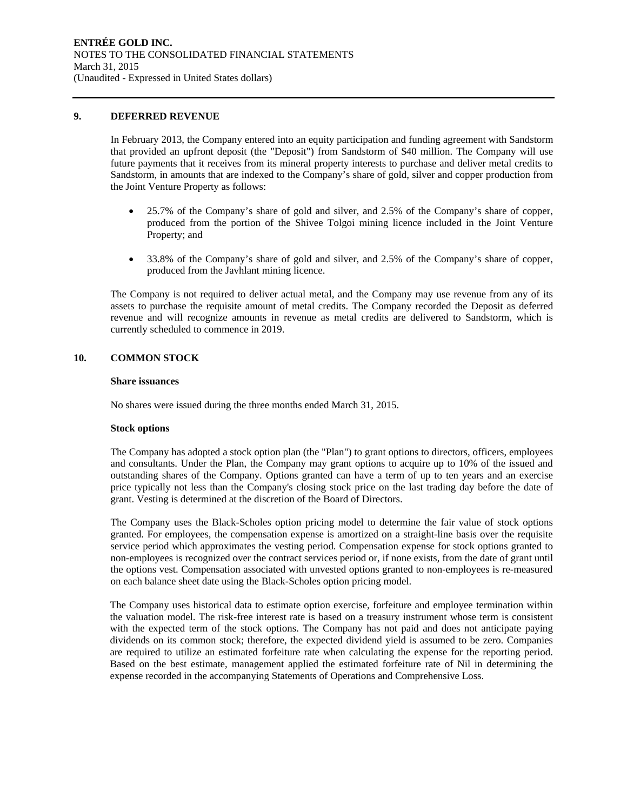#### **9. DEFERRED REVENUE**

In February 2013, the Company entered into an equity participation and funding agreement with Sandstorm that provided an upfront deposit (the "Deposit") from Sandstorm of \$40 million. The Company will use future payments that it receives from its mineral property interests to purchase and deliver metal credits to Sandstorm, in amounts that are indexed to the Company's share of gold, silver and copper production from the Joint Venture Property as follows:

- 25.7% of the Company's share of gold and silver, and 2.5% of the Company's share of copper, produced from the portion of the Shivee Tolgoi mining licence included in the Joint Venture Property; and
- 33.8% of the Company's share of gold and silver, and 2.5% of the Company's share of copper, produced from the Javhlant mining licence.

The Company is not required to deliver actual metal, and the Company may use revenue from any of its assets to purchase the requisite amount of metal credits. The Company recorded the Deposit as deferred revenue and will recognize amounts in revenue as metal credits are delivered to Sandstorm, which is currently scheduled to commence in 2019.

#### **10. COMMON STOCK**

#### **Share issuances**

No shares were issued during the three months ended March 31, 2015.

#### **Stock options**

The Company has adopted a stock option plan (the "Plan") to grant options to directors, officers, employees and consultants. Under the Plan, the Company may grant options to acquire up to 10% of the issued and outstanding shares of the Company. Options granted can have a term of up to ten years and an exercise price typically not less than the Company's closing stock price on the last trading day before the date of grant. Vesting is determined at the discretion of the Board of Directors.

The Company uses the Black-Scholes option pricing model to determine the fair value of stock options granted. For employees, the compensation expense is amortized on a straight-line basis over the requisite service period which approximates the vesting period. Compensation expense for stock options granted to non-employees is recognized over the contract services period or, if none exists, from the date of grant until the options vest. Compensation associated with unvested options granted to non-employees is re-measured on each balance sheet date using the Black-Scholes option pricing model.

The Company uses historical data to estimate option exercise, forfeiture and employee termination within the valuation model. The risk-free interest rate is based on a treasury instrument whose term is consistent with the expected term of the stock options. The Company has not paid and does not anticipate paying dividends on its common stock; therefore, the expected dividend yield is assumed to be zero. Companies are required to utilize an estimated forfeiture rate when calculating the expense for the reporting period. Based on the best estimate, management applied the estimated forfeiture rate of Nil in determining the expense recorded in the accompanying Statements of Operations and Comprehensive Loss.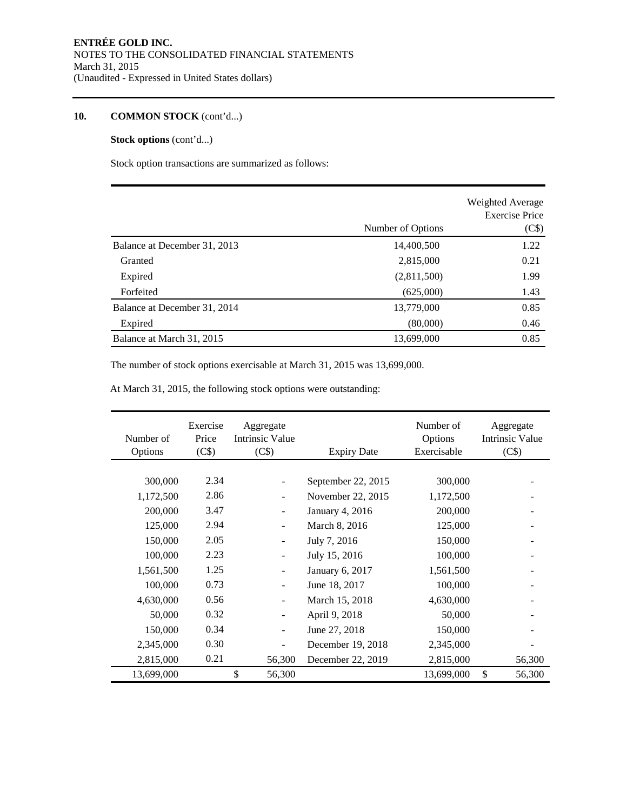#### **10. COMMON STOCK** (cont'd...)

#### **Stock options** (cont'd...)

Stock option transactions are summarized as follows:

|                              | Number of Options | Weighted Average<br><b>Exercise Price</b><br>(C\$) |
|------------------------------|-------------------|----------------------------------------------------|
| Balance at December 31, 2013 | 14,400,500        | 1.22                                               |
| Granted                      | 2,815,000         | 0.21                                               |
| Expired                      | (2,811,500)       | 1.99                                               |
| Forfeited                    | (625,000)         | 1.43                                               |
| Balance at December 31, 2014 | 13,779,000        | 0.85                                               |
| Expired                      | (80,000)          | 0.46                                               |
| Balance at March 31, 2015    | 13,699,000        | 0.85                                               |

The number of stock options exercisable at March 31, 2015 was 13,699,000.

At March 31, 2015, the following stock options were outstanding:

| Number of<br>Options | Exercise<br>Price<br>(C\$) | Aggregate<br>Intrinsic Value<br>(C\$) | <b>Expiry Date</b> | Number of<br>Options<br>Exercisable | Aggregate<br><b>Intrinsic Value</b><br>(C\$) |
|----------------------|----------------------------|---------------------------------------|--------------------|-------------------------------------|----------------------------------------------|
|                      |                            |                                       |                    |                                     |                                              |
| 300,000              | 2.34                       |                                       | September 22, 2015 | 300,000                             |                                              |
| 1,172,500            | 2.86                       | ٠                                     | November 22, 2015  | 1,172,500                           |                                              |
| 200,000              | 3.47                       |                                       | January 4, 2016    | 200,000                             |                                              |
| 125,000              | 2.94                       |                                       | March 8, 2016      | 125,000                             |                                              |
| 150,000              | 2.05                       |                                       | July 7, 2016       | 150,000                             |                                              |
| 100,000              | 2.23                       |                                       | July 15, 2016      | 100,000                             |                                              |
| 1,561,500            | 1.25                       |                                       | January 6, 2017    | 1,561,500                           |                                              |
| 100,000              | 0.73                       | $\overline{\phantom{a}}$              | June 18, 2017      | 100,000                             |                                              |
| 4,630,000            | 0.56                       | $\overline{\phantom{a}}$              | March 15, 2018     | 4,630,000                           |                                              |
| 50,000               | 0.32                       | $\overline{\phantom{a}}$              | April 9, 2018      | 50,000                              |                                              |
| 150,000              | 0.34                       | $\overline{\phantom{a}}$              | June 27, 2018      | 150,000                             |                                              |
| 2,345,000            | 0.30                       | $\blacksquare$                        | December 19, 2018  | 2,345,000                           |                                              |
| 2,815,000            | 0.21                       | 56,300                                | December 22, 2019  | 2,815,000                           | 56,300                                       |
| 13,699,000           |                            | \$<br>56,300                          |                    | 13,699,000                          | \$<br>56,300                                 |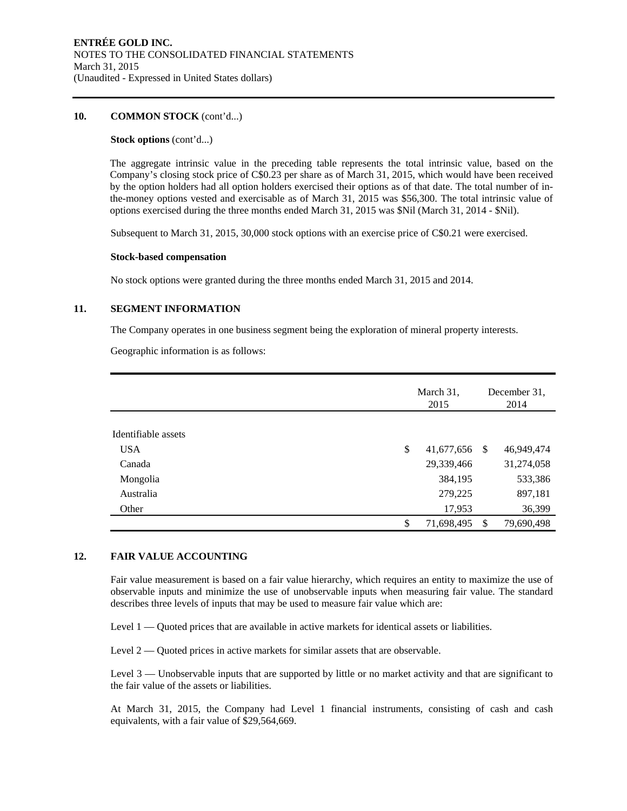#### **10. COMMON STOCK** (cont'd...)

#### **Stock options** (cont'd...)

The aggregate intrinsic value in the preceding table represents the total intrinsic value, based on the Company's closing stock price of C\$0.23 per share as of March 31, 2015, which would have been received by the option holders had all option holders exercised their options as of that date. The total number of inthe-money options vested and exercisable as of March 31, 2015 was \$56,300. The total intrinsic value of options exercised during the three months ended March 31, 2015 was \$Nil (March 31, 2014 - \$Nil).

Subsequent to March 31, 2015, 30,000 stock options with an exercise price of C\$0.21 were exercised.

#### **Stock-based compensation**

No stock options were granted during the three months ended March 31, 2015 and 2014.

#### **11. SEGMENT INFORMATION**

The Company operates in one business segment being the exploration of mineral property interests.

Geographic information is as follows:

|                     | March 31,<br>2015   | December 31.<br>2014 |            |  |
|---------------------|---------------------|----------------------|------------|--|
| Identifiable assets |                     |                      |            |  |
|                     |                     |                      |            |  |
| <b>USA</b>          | \$<br>41,677,656 \$ |                      | 46,949,474 |  |
| Canada              | 29,339,466          |                      | 31,274,058 |  |
| Mongolia            | 384,195             |                      | 533,386    |  |
| Australia           | 279,225             |                      | 897,181    |  |
| Other               | 17,953              |                      | 36,399     |  |
|                     | \$<br>71,698,495    | S                    | 79,690,498 |  |

#### **12. FAIR VALUE ACCOUNTING**

Fair value measurement is based on a fair value hierarchy, which requires an entity to maximize the use of observable inputs and minimize the use of unobservable inputs when measuring fair value. The standard describes three levels of inputs that may be used to measure fair value which are:

Level 1 — Quoted prices that are available in active markets for identical assets or liabilities.

Level 2 — Quoted prices in active markets for similar assets that are observable.

Level 3 — Unobservable inputs that are supported by little or no market activity and that are significant to the fair value of the assets or liabilities.

At March 31, 2015, the Company had Level 1 financial instruments, consisting of cash and cash equivalents, with a fair value of \$29,564,669.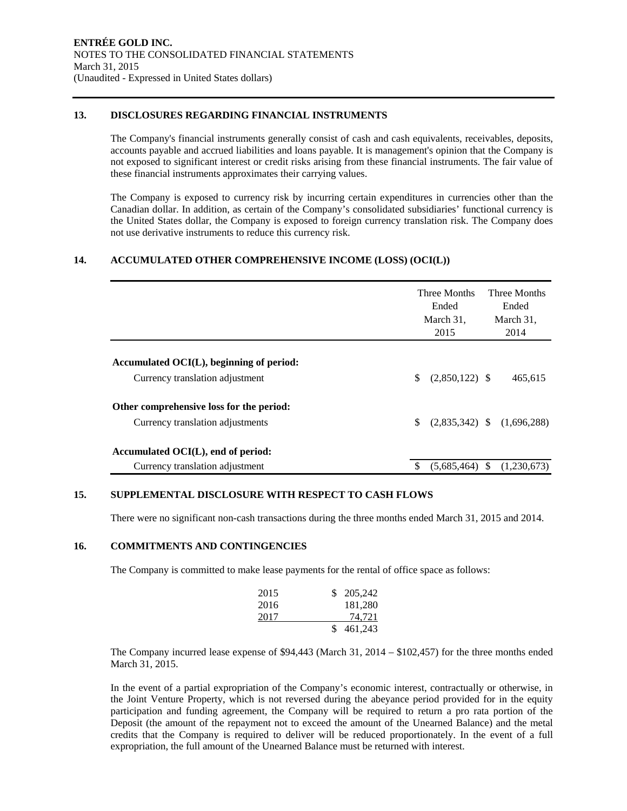#### **13. DISCLOSURES REGARDING FINANCIAL INSTRUMENTS**

The Company's financial instruments generally consist of cash and cash equivalents, receivables, deposits, accounts payable and accrued liabilities and loans payable. It is management's opinion that the Company is not exposed to significant interest or credit risks arising from these financial instruments. The fair value of these financial instruments approximates their carrying values.

The Company is exposed to currency risk by incurring certain expenditures in currencies other than the Canadian dollar. In addition, as certain of the Company's consolidated subsidiaries' functional currency is the United States dollar, the Company is exposed to foreign currency translation risk. The Company does not use derivative instruments to reduce this currency risk.

#### **14. ACCUMULATED OTHER COMPREHENSIVE INCOME (LOSS) (OCI(L))**

|                                             | Three Months<br>Ended<br>March 31,<br>2015 | Three Months<br>Ended<br>March 31,<br>2014 |
|---------------------------------------------|--------------------------------------------|--------------------------------------------|
|                                             |                                            |                                            |
| Accumulated $OCI(L)$ , beginning of period: |                                            |                                            |
| Currency translation adjustment             | \$.<br>$(2,850,122)$ \$                    | 465,615                                    |
| Other comprehensive loss for the period:    |                                            |                                            |
| Currency translation adjustments            | \$<br>$(2,835,342)$ \$                     | (1,696,288)                                |
| Accumulated OCI(L), end of period:          |                                            |                                            |
| Currency translation adjustment             | S<br>$(5,685,464)$ \$                      | (1,230,673)                                |

#### **15. SUPPLEMENTAL DISCLOSURE WITH RESPECT TO CASH FLOWS**

There were no significant non-cash transactions during the three months ended March 31, 2015 and 2014.

#### **16. COMMITMENTS AND CONTINGENCIES**

The Company is committed to make lease payments for the rental of office space as follows:

| 2015 | \$205,242 |
|------|-----------|
| 2016 | 181,280   |
| 2017 | 74,721    |
|      | \$461,243 |

The Company incurred lease expense of \$94,443 (March 31, 2014 – \$102,457) for the three months ended March 31, 2015.

In the event of a partial expropriation of the Company's economic interest, contractually or otherwise, in the Joint Venture Property, which is not reversed during the abeyance period provided for in the equity participation and funding agreement, the Company will be required to return a pro rata portion of the Deposit (the amount of the repayment not to exceed the amount of the Unearned Balance) and the metal credits that the Company is required to deliver will be reduced proportionately. In the event of a full expropriation, the full amount of the Unearned Balance must be returned with interest.